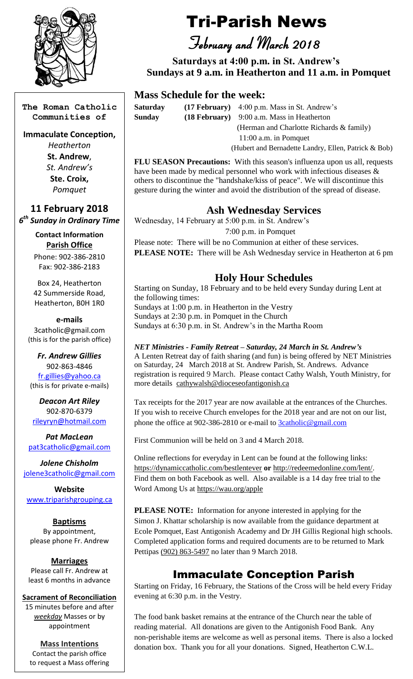

**The Roman Catholic Communities of**

#### **Immaculate Conception,**

*Heatherton* **St. Andrew**, *St. Andrew's* **Ste. Croix,** *Pomquet*

**11 February 2018**

*6 th Sunday in Ordinary Time*

**Contact Information Parish Office** Phone: 902-386-2810 Fax: 902-386-2183

Box 24, Heatherton 42 Summerside Road, Heatherton, B0H 1R0

**e-mails** 3catholic@gmail.com (this is for the parish office)

*Fr. Andrew Gillies* 902-863-4846 [fr.gillies@yahoo.ca](mailto:fr.gillies@yahoo.ca) (this is for private e-mails)

*Deacon Art Riley* 902-870-6379 [rileyryn@hotmail.com](mailto:rileyryn@hotmail.com)

*Pat MacLean* [pat3catholic@gmail.com](mailto:rileyryn@hotmail.com)

*Jolene Chisholm* [jolene3catholic@gmail.com](mailto:jolene3catholic@gmail.com)

**Website** [www.triparishgrouping.ca](http://www.triparishgrouping.ca/)

**Baptisms** By appointment, please phone Fr. Andrew

### **Marriages**

Please call Fr. Andrew at least 6 months in advance

**Sacrament of Reconciliation**

15 minutes before and after *weekday* Masses or by appointment

**Mass Intentions** Contact the parish office to request a Mass offering

# Tri-Parish News

 *February and March 2018*

 **Saturdays at 4:00 p.m. in St. Andrew's Sundays at 9 a.m. in Heatherton and 11 a.m. in Pomquet**

### **Mass Schedule for the week:**

**Saturday (17 February)** 4:00 p.m. Mass in St. Andrew's **Sunday (18 February)** 9:00 a.m. Mass in Heatherton (Herman and Charlotte Richards & family) 11:00 a.m. in Pomquet (Hubert and Bernadette Landry, Ellen, Patrick & Bob)

**FLU SEASON Precautions:** With this season's influenza upon us all, requests have been made by medical personnel who work with infectious diseases & others to discontinue the "handshake/kiss of peace". We will discontinue this gesture during the winter and avoid the distribution of the spread of disease.

# **Ash Wednesday Services**

Wednesday, 14 February at 5:00 p.m. in St. Andrew's

7:00 p.m. in Pomquet

Please note: There will be no Communion at either of these services. **PLEASE NOTE:** There will be Ash Wednesday service in Heatherton at 6 pm

# **Holy Hour Schedules**

Starting on Sunday, 18 February and to be held every Sunday during Lent at the following times: Sundays at 1:00 p.m. in Heatherton in the Vestry

Sundays at 2:30 p.m. in Pomquet in the Church Sundays at 6:30 p.m. in St. Andrew's in the Martha Room

#### *NET Ministries - Family Retreat – Saturday, 24 March in St. Andrew's* A Lenten Retreat day of faith sharing (and fun) is being offered by NET Ministries on Saturday, 24 March 2018 at St. Andrew Parish, St. Andrews. Advance registration is required 9 March. Please contact Cathy Walsh, Youth Ministry, for more details [cathywalsh@dioceseofantigonish.ca](mailto:cathywalsh@dioceseofantigonish.ca)

Tax receipts for the 2017 year are now available at the entrances of the Churches. If you wish to receive Church envelopes for the 2018 year and are not on our list, phone the office at 902-386-2810 or e-mail to [3catholic@gmail.com](mailto:3catholic@gmail.com)

First Communion will be held on 3 and 4 March 2018.

Online reflections for everyday in Lent can be found at the following links: <https://dynamiccatholic.com/bestlentever> **or** [http://redeemedonline.com/lent/.](http://redeemedonline.com/lent/) Find them on both Facebook as well. Also available is a 14 day free trial to the Word Among Us at<https://wau.org/apple>

**PLEASE NOTE:** Information for anyone interested in applying for the Simon J. Khattar scholarship is now available from the guidance department at Ecole Pomquet, East Antigonish Academy and Dr JH Gillis Regional high schools. Completed application forms and required documents are to be returned to Mark Pettipas [\(902\) 863-5497](tel:%28902%29%20863-5497) no later than 9 March 2018.

# Immaculate Conception Parish

Starting on Friday, 16 February, the Stations of the Cross will be held every Friday evening at 6:30 p.m. in the Vestry.

The food bank basket remains at the entrance of the Church near the table of reading material. All donations are given to the Antigonish Food Bank. Any non-perishable items are welcome as well as personal items. There is also a locked donation box. Thank you for all your donations. Signed, Heatherton C.W.L.